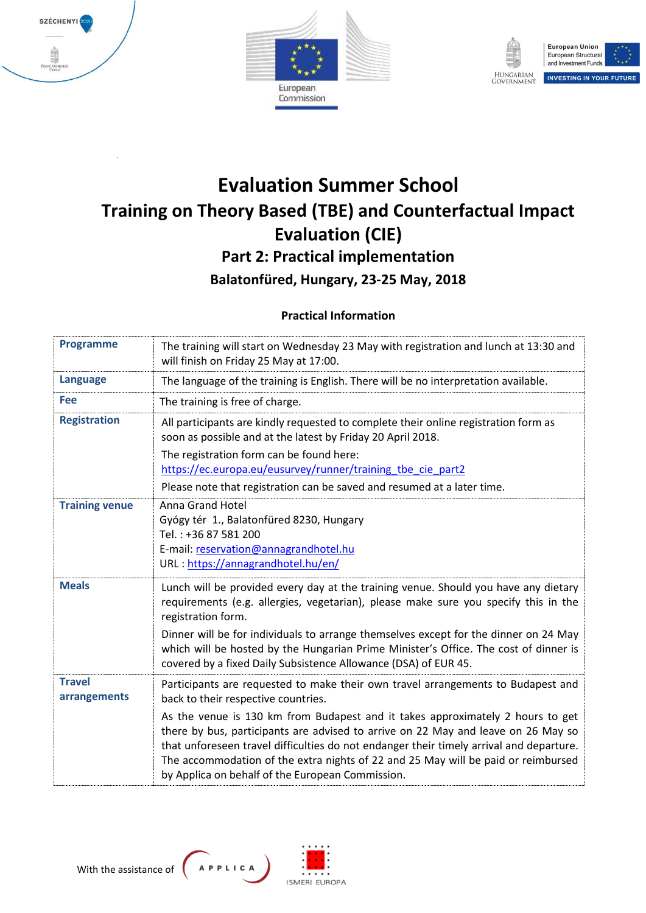





# **Evaluation Summer School Training on Theory Based (TBE) and Counterfactual Impact Evaluation (CIE) Part 2: Practical implementation Balatonfüred, Hungary, 23-25 May, 2018**

## **Practical Information**

| <b>Programme</b>              | The training will start on Wednesday 23 May with registration and lunch at 13:30 and<br>will finish on Friday 25 May at 17:00.                                                                                                                                                                                                                                                                                                                                                                                                     |
|-------------------------------|------------------------------------------------------------------------------------------------------------------------------------------------------------------------------------------------------------------------------------------------------------------------------------------------------------------------------------------------------------------------------------------------------------------------------------------------------------------------------------------------------------------------------------|
| <b>Language</b>               | The language of the training is English. There will be no interpretation available.                                                                                                                                                                                                                                                                                                                                                                                                                                                |
| Fee                           | The training is free of charge.                                                                                                                                                                                                                                                                                                                                                                                                                                                                                                    |
| <b>Registration</b>           | All participants are kindly requested to complete their online registration form as<br>soon as possible and at the latest by Friday 20 April 2018.                                                                                                                                                                                                                                                                                                                                                                                 |
|                               | The registration form can be found here:<br>https://ec.europa.eu/eusurvey/runner/training tbe cie part2                                                                                                                                                                                                                                                                                                                                                                                                                            |
|                               | Please note that registration can be saved and resumed at a later time.                                                                                                                                                                                                                                                                                                                                                                                                                                                            |
| <b>Training venue</b>         | <b>Anna Grand Hotel</b><br>Gyógy tér 1., Balatonfüred 8230, Hungary<br>Tel.: +36 87 581 200<br>E-mail: reservation@annagrandhotel.hu<br>URL: https://annagrandhotel.hu/en/                                                                                                                                                                                                                                                                                                                                                         |
| <b>Meals</b>                  | Lunch will be provided every day at the training venue. Should you have any dietary<br>requirements (e.g. allergies, vegetarian), please make sure you specify this in the<br>registration form.<br>Dinner will be for individuals to arrange themselves except for the dinner on 24 May<br>which will be hosted by the Hungarian Prime Minister's Office. The cost of dinner is<br>covered by a fixed Daily Subsistence Allowance (DSA) of EUR 45.                                                                                |
| <b>Travel</b><br>arrangements | Participants are requested to make their own travel arrangements to Budapest and<br>back to their respective countries.<br>As the venue is 130 km from Budapest and it takes approximately 2 hours to get<br>there by bus, participants are advised to arrive on 22 May and leave on 26 May so<br>that unforeseen travel difficulties do not endanger their timely arrival and departure.<br>The accommodation of the extra nights of 22 and 25 May will be paid or reimbursed<br>by Applica on behalf of the European Commission. |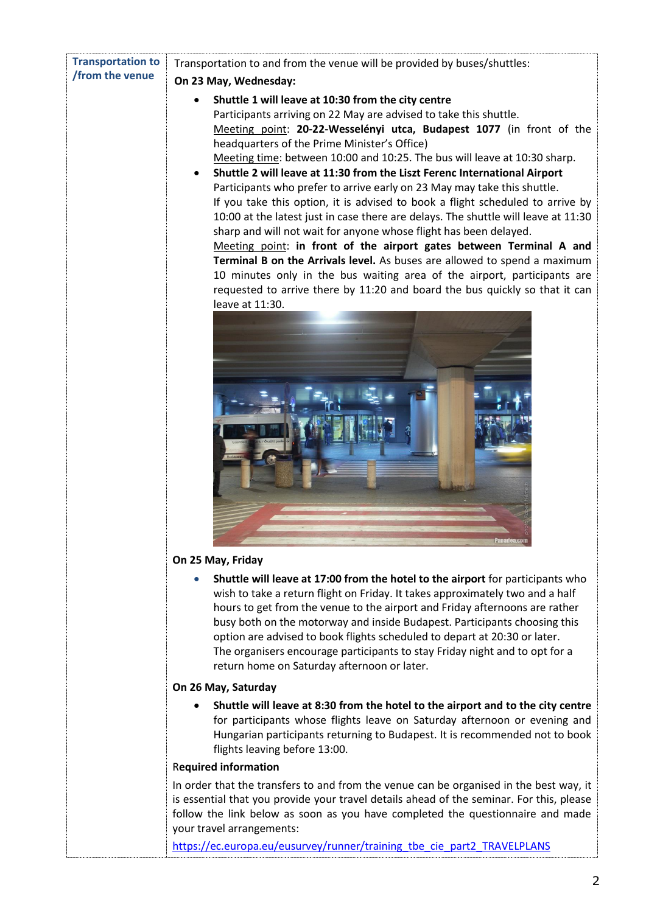| <b>Transportation to</b> | Transportation to and from the venue will be provided by buses/shuttles:                                                                                                                                                                                                                                                                                                                                                                                                                                                                                                                                                                                                                                                                                                                                                                                                                                                                                                                                                                                             |  |  |
|--------------------------|----------------------------------------------------------------------------------------------------------------------------------------------------------------------------------------------------------------------------------------------------------------------------------------------------------------------------------------------------------------------------------------------------------------------------------------------------------------------------------------------------------------------------------------------------------------------------------------------------------------------------------------------------------------------------------------------------------------------------------------------------------------------------------------------------------------------------------------------------------------------------------------------------------------------------------------------------------------------------------------------------------------------------------------------------------------------|--|--|
| /from the venue          | On 23 May, Wednesday:                                                                                                                                                                                                                                                                                                                                                                                                                                                                                                                                                                                                                                                                                                                                                                                                                                                                                                                                                                                                                                                |  |  |
|                          | Shuttle 1 will leave at 10:30 from the city centre<br>Participants arriving on 22 May are advised to take this shuttle.<br>Meeting point: 20-22-Wesselényi utca, Budapest 1077 (in front of the<br>headquarters of the Prime Minister's Office)<br>Meeting time: between 10:00 and 10:25. The bus will leave at 10:30 sharp.<br>Shuttle 2 will leave at 11:30 from the Liszt Ferenc International Airport<br>Participants who prefer to arrive early on 23 May may take this shuttle.<br>If you take this option, it is advised to book a flight scheduled to arrive by<br>10:00 at the latest just in case there are delays. The shuttle will leave at 11:30<br>sharp and will not wait for anyone whose flight has been delayed.<br>Meeting point: in front of the airport gates between Terminal A and<br>Terminal B on the Arrivals level. As buses are allowed to spend a maximum<br>10 minutes only in the bus waiting area of the airport, participants are<br>requested to arrive there by 11:20 and board the bus quickly so that it can<br>leave at 11:30. |  |  |
|                          | On 25 May, Friday                                                                                                                                                                                                                                                                                                                                                                                                                                                                                                                                                                                                                                                                                                                                                                                                                                                                                                                                                                                                                                                    |  |  |
|                          | Shuttle will leave at 17:00 from the hotel to the airport for participants who<br>$\bullet$<br>wish to take a return flight on Friday. It takes approximately two and a half<br>hours to get from the venue to the airport and Friday afternoons are rather<br>busy both on the motorway and inside Budapest. Participants choosing this<br>option are advised to book flights scheduled to depart at 20:30 or later.<br>The organisers encourage participants to stay Friday night and to opt for a<br>return home on Saturday afternoon or later.                                                                                                                                                                                                                                                                                                                                                                                                                                                                                                                  |  |  |
|                          | On 26 May, Saturday                                                                                                                                                                                                                                                                                                                                                                                                                                                                                                                                                                                                                                                                                                                                                                                                                                                                                                                                                                                                                                                  |  |  |
|                          | Shuttle will leave at 8:30 from the hotel to the airport and to the city centre<br>for participants whose flights leave on Saturday afternoon or evening and<br>Hungarian participants returning to Budapest. It is recommended not to book<br>flights leaving before 13:00.                                                                                                                                                                                                                                                                                                                                                                                                                                                                                                                                                                                                                                                                                                                                                                                         |  |  |
|                          | <b>Required information</b>                                                                                                                                                                                                                                                                                                                                                                                                                                                                                                                                                                                                                                                                                                                                                                                                                                                                                                                                                                                                                                          |  |  |
|                          | In order that the transfers to and from the venue can be organised in the best way, it<br>وتعموم وعافكم اموموام وانعدوام او                                                                                                                                                                                                                                                                                                                                                                                                                                                                                                                                                                                                                                                                                                                                                                                                                                                                                                                                          |  |  |

is essential that you provide your travel details ahead of the seminar. For this, please follow the link below as soon as you have completed the questionnaire and made your travel arrangements:

https://ec.europa.eu/eusurvey/runner/training\_tbe\_cie\_part2\_TRAVELPLANS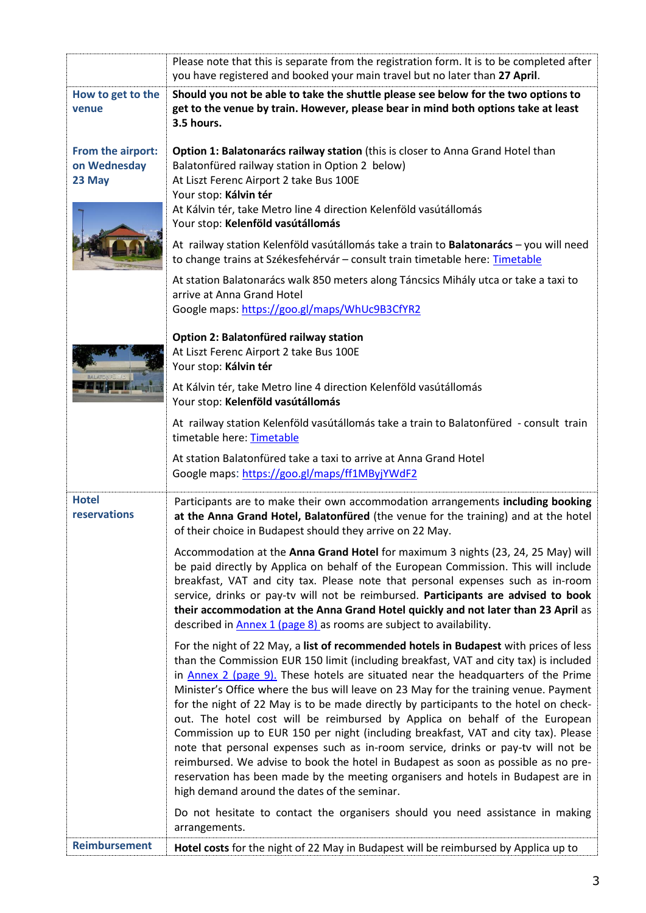|                      | Please note that this is separate from the registration form. It is to be completed after                                                                                |  |  |
|----------------------|--------------------------------------------------------------------------------------------------------------------------------------------------------------------------|--|--|
|                      | you have registered and booked your main travel but no later than 27 April.                                                                                              |  |  |
| How to get to the    | Should you not be able to take the shuttle please see below for the two options to                                                                                       |  |  |
| venue                | get to the venue by train. However, please bear in mind both options take at least                                                                                       |  |  |
|                      | 3.5 hours.                                                                                                                                                               |  |  |
| From the airport:    | Option 1: Balatonarács railway station (this is closer to Anna Grand Hotel than                                                                                          |  |  |
| on Wednesday         | Balatonfüred railway station in Option 2 below)                                                                                                                          |  |  |
| 23 May               | At Liszt Ferenc Airport 2 take Bus 100E                                                                                                                                  |  |  |
|                      | Your stop: Kálvin tér                                                                                                                                                    |  |  |
|                      | At Kálvin tér, take Metro line 4 direction Kelenföld vasútállomás<br>Your stop: Kelenföld vasútállomás                                                                   |  |  |
|                      | At railway station Kelenföld vasútállomás take a train to Balatonarács - you will need                                                                                   |  |  |
|                      | to change trains at Székesfehérvár - consult train timetable here: Timetable                                                                                             |  |  |
|                      | At station Balatonarács walk 850 meters along Táncsics Mihály utca or take a taxi to                                                                                     |  |  |
|                      | arrive at Anna Grand Hotel                                                                                                                                               |  |  |
|                      | Google maps: https://goo.gl/maps/WhUc9B3CfYR2                                                                                                                            |  |  |
|                      | Option 2: Balatonfüred railway station                                                                                                                                   |  |  |
|                      | At Liszt Ferenc Airport 2 take Bus 100E                                                                                                                                  |  |  |
|                      | Your stop: Kálvin tér                                                                                                                                                    |  |  |
|                      | At Kálvin tér, take Metro line 4 direction Kelenföld vasútállomás                                                                                                        |  |  |
|                      | Your stop: Kelenföld vasútállomás                                                                                                                                        |  |  |
|                      | At railway station Kelenföld vasútállomás take a train to Balatonfüred - consult train<br>timetable here: Timetable                                                      |  |  |
|                      |                                                                                                                                                                          |  |  |
|                      | At station Balatonfüred take a taxi to arrive at Anna Grand Hotel<br>Google maps: https://goo.gl/maps/ff1MByjYWdF2                                                       |  |  |
|                      |                                                                                                                                                                          |  |  |
| <b>Hotel</b>         | Participants are to make their own accommodation arrangements including booking                                                                                          |  |  |
| reservations         | at the Anna Grand Hotel, Balatonfüred (the venue for the training) and at the hotel                                                                                      |  |  |
|                      | of their choice in Budapest should they arrive on 22 May.                                                                                                                |  |  |
|                      | Accommodation at the Anna Grand Hotel for maximum 3 nights (23, 24, 25 May) will                                                                                         |  |  |
|                      | be paid directly by Applica on behalf of the European Commission. This will include                                                                                      |  |  |
|                      | breakfast, VAT and city tax. Please note that personal expenses such as in-room                                                                                          |  |  |
|                      | service, drinks or pay-tv will not be reimbursed. Participants are advised to book<br>their accommodation at the Anna Grand Hotel quickly and not later than 23 April as |  |  |
|                      | described in Annex 1 (page 8) as rooms are subject to availability.                                                                                                      |  |  |
|                      | For the night of 22 May, a list of recommended hotels in Budapest with prices of less                                                                                    |  |  |
|                      | than the Commission EUR 150 limit (including breakfast, VAT and city tax) is included                                                                                    |  |  |
|                      | in $Annex 2 (page 9)$ . These hotels are situated near the headquarters of the Prime                                                                                     |  |  |
|                      | Minister's Office where the bus will leave on 23 May for the training venue. Payment                                                                                     |  |  |
|                      | for the night of 22 May is to be made directly by participants to the hotel on check-                                                                                    |  |  |
|                      | out. The hotel cost will be reimbursed by Applica on behalf of the European<br>Commission up to EUR 150 per night (including breakfast, VAT and city tax). Please        |  |  |
|                      | note that personal expenses such as in-room service, drinks or pay-tv will not be                                                                                        |  |  |
|                      | reimbursed. We advise to book the hotel in Budapest as soon as possible as no pre-                                                                                       |  |  |
|                      | reservation has been made by the meeting organisers and hotels in Budapest are in                                                                                        |  |  |
|                      | high demand around the dates of the seminar.                                                                                                                             |  |  |
|                      | Do not hesitate to contact the organisers should you need assistance in making                                                                                           |  |  |
|                      | arrangements.                                                                                                                                                            |  |  |
| <b>Reimbursement</b> | Hotel costs for the night of 22 May in Budapest will be reimbursed by Applica up to                                                                                      |  |  |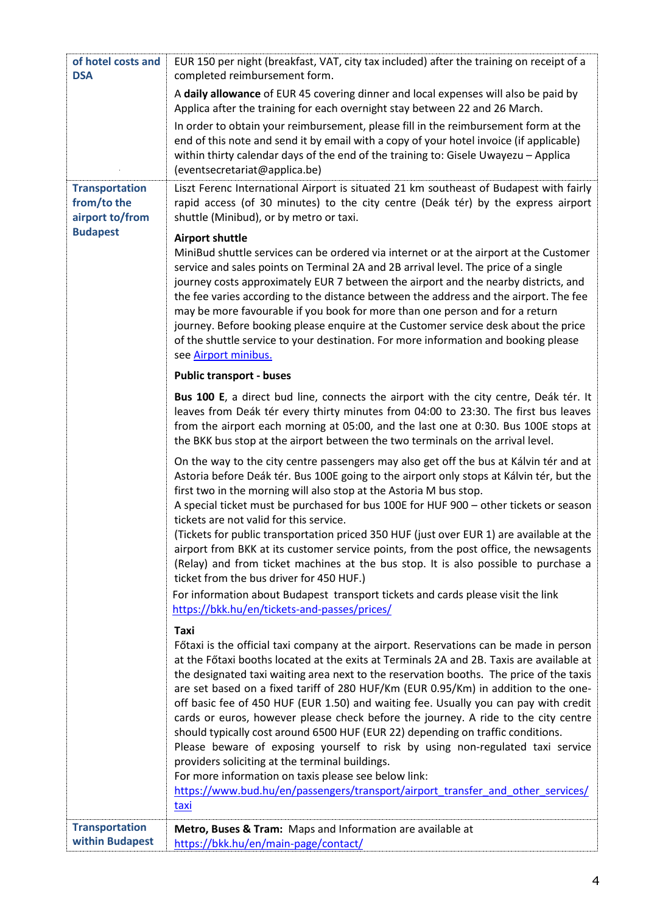| of hotel costs and<br><b>DSA</b>                                           | EUR 150 per night (breakfast, VAT, city tax included) after the training on receipt of a<br>completed reimbursement form.                                                                                                                                                                                                                                                                                                                                                                                                                                                                                                                                                                                                                                                                                                                                                                                                                    |
|----------------------------------------------------------------------------|----------------------------------------------------------------------------------------------------------------------------------------------------------------------------------------------------------------------------------------------------------------------------------------------------------------------------------------------------------------------------------------------------------------------------------------------------------------------------------------------------------------------------------------------------------------------------------------------------------------------------------------------------------------------------------------------------------------------------------------------------------------------------------------------------------------------------------------------------------------------------------------------------------------------------------------------|
|                                                                            | A daily allowance of EUR 45 covering dinner and local expenses will also be paid by<br>Applica after the training for each overnight stay between 22 and 26 March.                                                                                                                                                                                                                                                                                                                                                                                                                                                                                                                                                                                                                                                                                                                                                                           |
|                                                                            | In order to obtain your reimbursement, please fill in the reimbursement form at the<br>end of this note and send it by email with a copy of your hotel invoice (if applicable)<br>within thirty calendar days of the end of the training to: Gisele Uwayezu - Applica<br>(eventsecretariat@applica.be)                                                                                                                                                                                                                                                                                                                                                                                                                                                                                                                                                                                                                                       |
| <b>Transportation</b><br>from/to the<br>airport to/from<br><b>Budapest</b> | Liszt Ferenc International Airport is situated 21 km southeast of Budapest with fairly<br>rapid access (of 30 minutes) to the city centre (Deák tér) by the express airport<br>shuttle (Minibud), or by metro or taxi.                                                                                                                                                                                                                                                                                                                                                                                                                                                                                                                                                                                                                                                                                                                       |
|                                                                            | <b>Airport shuttle</b><br>MiniBud shuttle services can be ordered via internet or at the airport at the Customer<br>service and sales points on Terminal 2A and 2B arrival level. The price of a single<br>journey costs approximately EUR 7 between the airport and the nearby districts, and<br>the fee varies according to the distance between the address and the airport. The fee<br>may be more favourable if you book for more than one person and for a return<br>journey. Before booking please enquire at the Customer service desk about the price<br>of the shuttle service to your destination. For more information and booking please<br>see Airport minibus.                                                                                                                                                                                                                                                                |
|                                                                            | <b>Public transport - buses</b>                                                                                                                                                                                                                                                                                                                                                                                                                                                                                                                                                                                                                                                                                                                                                                                                                                                                                                              |
|                                                                            | Bus 100 E, a direct bud line, connects the airport with the city centre, Deák tér. It<br>leaves from Deák tér every thirty minutes from 04:00 to 23:30. The first bus leaves<br>from the airport each morning at 05:00, and the last one at 0:30. Bus 100E stops at<br>the BKK bus stop at the airport between the two terminals on the arrival level.                                                                                                                                                                                                                                                                                                                                                                                                                                                                                                                                                                                       |
|                                                                            | On the way to the city centre passengers may also get off the bus at Kálvin tér and at<br>Astoria before Deák tér. Bus 100E going to the airport only stops at Kálvin tér, but the<br>first two in the morning will also stop at the Astoria M bus stop.<br>A special ticket must be purchased for bus 100E for HUF 900 - other tickets or season<br>tickets are not valid for this service.<br>(Tickets for public transportation priced 350 HUF (just over EUR 1) are available at the<br>airport from BKK at its customer service points, from the post office, the newsagents<br>(Relay) and from ticket machines at the bus stop. It is also possible to purchase a<br>ticket from the bus driver for 450 HUF.)                                                                                                                                                                                                                         |
|                                                                            | For information about Budapest transport tickets and cards please visit the link<br>https://bkk.hu/en/tickets-and-passes/prices/                                                                                                                                                                                                                                                                                                                                                                                                                                                                                                                                                                                                                                                                                                                                                                                                             |
|                                                                            | Taxi<br>Főtaxi is the official taxi company at the airport. Reservations can be made in person<br>at the Főtaxi booths located at the exits at Terminals 2A and 2B. Taxis are available at<br>the designated taxi waiting area next to the reservation booths. The price of the taxis<br>are set based on a fixed tariff of 280 HUF/Km (EUR 0.95/Km) in addition to the one-<br>off basic fee of 450 HUF (EUR 1.50) and waiting fee. Usually you can pay with credit<br>cards or euros, however please check before the journey. A ride to the city centre<br>should typically cost around 6500 HUF (EUR 22) depending on traffic conditions.<br>Please beware of exposing yourself to risk by using non-regulated taxi service<br>providers soliciting at the terminal buildings.<br>For more information on taxis please see below link:<br>https://www.bud.hu/en/passengers/transport/airport transfer and other services/<br><u>taxi</u> |
| <b>Transportation</b><br>within Budapest                                   | Metro, Buses & Tram: Maps and Information are available at<br>https://bkk.hu/en/main-page/contact/                                                                                                                                                                                                                                                                                                                                                                                                                                                                                                                                                                                                                                                                                                                                                                                                                                           |
|                                                                            |                                                                                                                                                                                                                                                                                                                                                                                                                                                                                                                                                                                                                                                                                                                                                                                                                                                                                                                                              |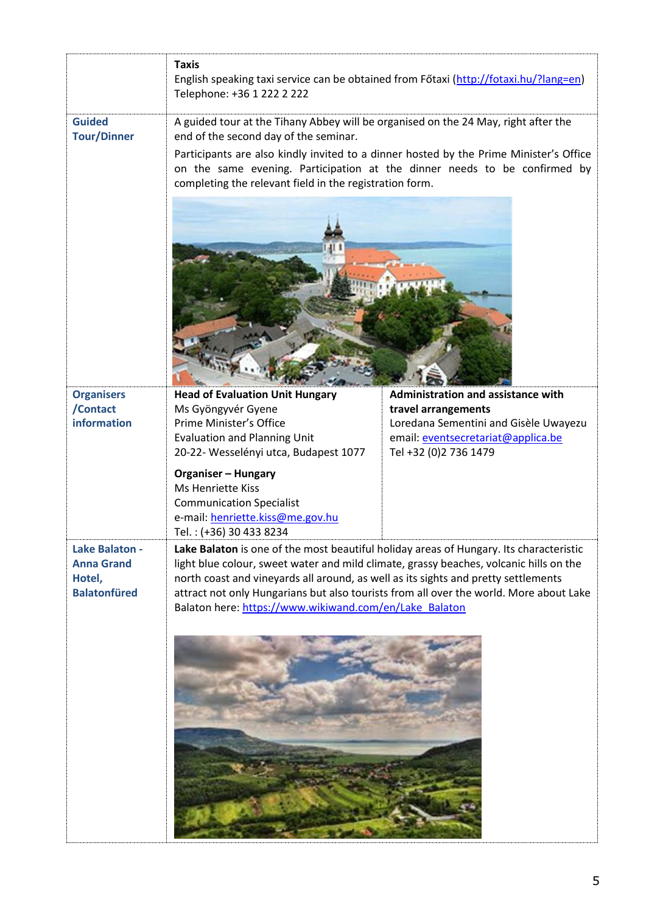|                                                                      | <b>Taxis</b><br>English speaking taxi service can be obtained from Főtaxi (http://fotaxi.hu/?lang=en)<br>Telephone: +36 1 222 2 222                                                                                                                                                                                                                                                                                        |                                                                                                      |  |
|----------------------------------------------------------------------|----------------------------------------------------------------------------------------------------------------------------------------------------------------------------------------------------------------------------------------------------------------------------------------------------------------------------------------------------------------------------------------------------------------------------|------------------------------------------------------------------------------------------------------|--|
| <b>Guided</b><br><b>Tour/Dinner</b>                                  | A guided tour at the Tihany Abbey will be organised on the 24 May, right after the<br>end of the second day of the seminar.                                                                                                                                                                                                                                                                                                |                                                                                                      |  |
|                                                                      | Participants are also kindly invited to a dinner hosted by the Prime Minister's Office<br>on the same evening. Participation at the dinner needs to be confirmed by<br>completing the relevant field in the registration form.                                                                                                                                                                                             |                                                                                                      |  |
|                                                                      |                                                                                                                                                                                                                                                                                                                                                                                                                            |                                                                                                      |  |
|                                                                      |                                                                                                                                                                                                                                                                                                                                                                                                                            |                                                                                                      |  |
| <b>Organisers</b><br>/Contact                                        | <b>Head of Evaluation Unit Hungary</b><br>Ms Gyöngyvér Gyene                                                                                                                                                                                                                                                                                                                                                               | Administration and assistance with<br>travel arrangements                                            |  |
| information                                                          | Prime Minister's Office<br><b>Evaluation and Planning Unit</b><br>20-22- Wesselényi utca, Budapest 1077                                                                                                                                                                                                                                                                                                                    | Loredana Sementini and Gisèle Uwayezu<br>email: eventsecretariat@applica.be<br>Tel +32 (0)2 736 1479 |  |
|                                                                      | <b>Organiser - Hungary</b><br><b>Ms Henriette Kiss</b><br><b>Communication Specialist</b><br>e-mail: henriette.kiss@me.gov.hu<br>Tel.: (+36) 30 433 8234                                                                                                                                                                                                                                                                   |                                                                                                      |  |
| Lake Balaton -<br><b>Anna Grand</b><br>Hotel,<br><b>Balatonfüred</b> | Lake Balaton is one of the most beautiful holiday areas of Hungary. Its characteristic<br>light blue colour, sweet water and mild climate, grassy beaches, volcanic hills on the<br>north coast and vineyards all around, as well as its sights and pretty settlements<br>attract not only Hungarians but also tourists from all over the world. More about Lake<br>Balaton here: https://www.wikiwand.com/en/Lake Balaton |                                                                                                      |  |
|                                                                      |                                                                                                                                                                                                                                                                                                                                                                                                                            |                                                                                                      |  |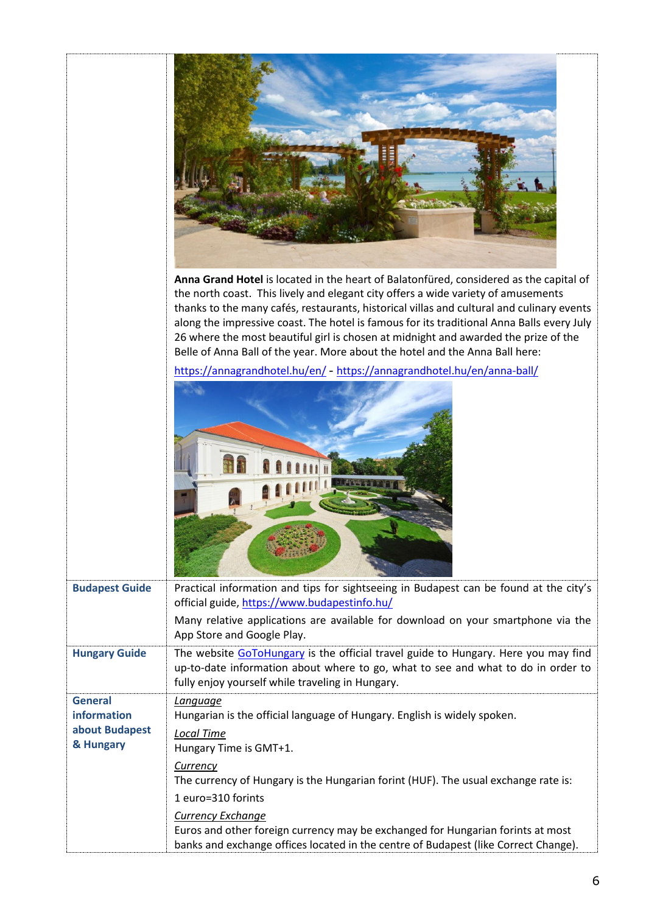|                                                              | Anna Grand Hotel is located in the heart of Balatonfüred, considered as the capital of<br>the north coast. This lively and elegant city offers a wide variety of amusements<br>thanks to the many cafés, restaurants, historical villas and cultural and culinary events<br>along the impressive coast. The hotel is famous for its traditional Anna Balls every July<br>26 where the most beautiful girl is chosen at midnight and awarded the prize of the<br>Belle of Anna Ball of the year. More about the hotel and the Anna Ball here: |
|--------------------------------------------------------------|----------------------------------------------------------------------------------------------------------------------------------------------------------------------------------------------------------------------------------------------------------------------------------------------------------------------------------------------------------------------------------------------------------------------------------------------------------------------------------------------------------------------------------------------|
|                                                              | https://annagrandhotel.hu/en/ - https://annagrandhotel.hu/en/anna-ball/                                                                                                                                                                                                                                                                                                                                                                                                                                                                      |
| <b>Budapest Guide</b>                                        | Practical information and tips for sightseeing in Budapest can be found at the city's<br>official guide, https://www.budapestinfo.hu/<br>Many relative applications are available for download on your smartphone via the<br>App Store and Google Play.                                                                                                                                                                                                                                                                                      |
| <b>Hungary Guide</b>                                         | The website GoToHungary is the official travel guide to Hungary. Here you may find<br>up-to-date information about where to go, what to see and what to do in order to<br>fully enjoy yourself while traveling in Hungary.                                                                                                                                                                                                                                                                                                                   |
| <b>General</b><br>information<br>about Budapest<br>& Hungary | Language<br>Hungarian is the official language of Hungary. English is widely spoken.<br><b>Local Time</b><br>Hungary Time is GMT+1.<br><b>Currency</b><br>The currency of Hungary is the Hungarian forint (HUF). The usual exchange rate is:<br>1 euro=310 forints<br><b>Currency Exchange</b><br>Euros and other foreign currency may be exchanged for Hungarian forints at most<br>banks and exchange offices located in the centre of Budapest (like Correct Change).                                                                     |